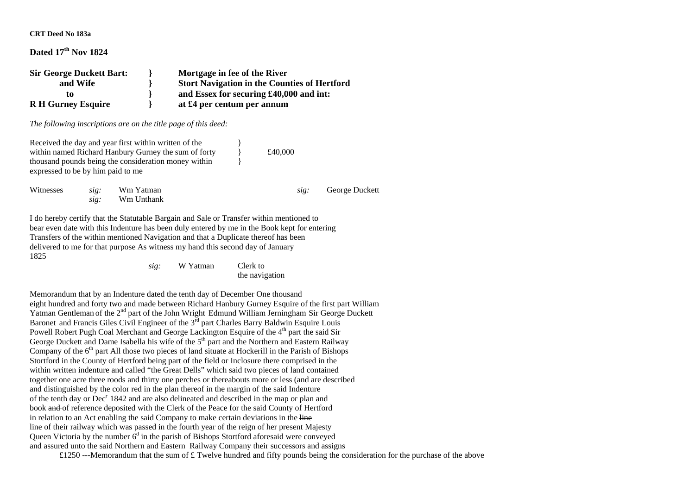**CRT Deed No 183a** 

## **Dated 17th Nov 1824**

**Sir George Duckett Bart: } Mortgage in fee of the River and Wife } Stort Navigation in the Counties of Hertford to } and Essex for securing £40,000 and int: R H Gurney Esquire } at £4 per centum per annum** 

*The following inscriptions are on the title page of this deed:* 

Received the day and year first within written of the within named Richard Hanbury Gurney the sum of forty  $\qquad 1$  £40,000 thousand pounds being the consideration money within } expressed to be by him paid to me Witnesses *sig:* Wm Yatman *sig:* George Duckett  *sig:* Wm Unthank

I do hereby certify that the Statutable Bargain and Sale or Transfer within mentioned to bear even date with this Indenture has been duly entered by me in the Book kept for entering Transfers of the within mentioned Navigation and that a Duplicate thereof has been delivered to me for that purpose As witness my hand this second day of January 1825

> *sig:* W Yatman Clerk to the navigation

Memorandum that by an Indenture dated the tenth day of December One thousand eight hundred and forty two and made between Richard Hanbury Gurney Esquire of the first part William Yatman Gentleman of the 2<sup>nd</sup> part of the John Wright Edmund William Jerningham Sir George Duckett Baronet and Francis Giles Civil Engineer of the 3<sup>rd</sup> part Charles Barry Baldwin Esquire Louis Powell Robert Pugh Coal Merchant and George Lackington Esquire of the 4<sup>th</sup> part the said Sir George Duckett and Dame Isabella his wife of the  $5<sup>th</sup>$  part and the Northern and Eastern Railway Company of the  $6<sup>th</sup>$  part All those two pieces of land situate at Hockerill in the Parish of Bishops Stortford in the County of Hertford being part of the field or Inclosure there comprised in the within written indenture and called "the Great Dells" which said two pieces of land contained together one acre three roods and thirty one perches or thereabouts more or less (and are described and distinguished by the color red in the plan thereof in the margin of the said Indenture of the tenth day or  $Dec<sup>r</sup> 1842$  and are also delineated and described in the map or plan and book and of reference deposited with the Clerk of the Peace for the said County of Hertford in relation to an Act enabling the said Company to make certain deviations in the line line of their railway which was passed in the fourth year of the reign of her present Majesty Queen Victoria by the number  $6<sup>d</sup>$  in the parish of Bishops Stortford aforesaid were conveyed and assured unto the said Northern and Eastern Railway Company their successors and assigns

£1250 ---Memorandum that the sum of £ Twelve hundred and fifty pounds being the consideration for the purchase of the above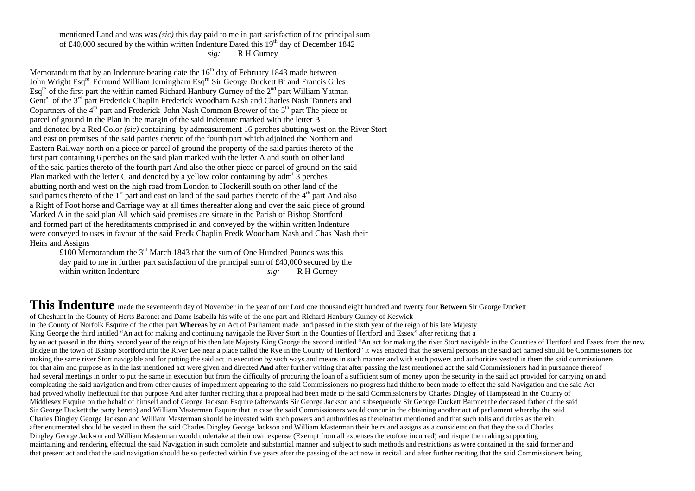mentioned Land and was was *(sic)* this day paid to me in part satisfaction of the principal sum of £40,000 secured by the within written Indenture Dated this 19<sup>th</sup> day of December 1842 *sig:* R H Gurney

Memorandum that by an Indenture bearing date the  $16<sup>th</sup>$  day of February 1843 made between John Wright Esq<sup>re</sup> Edmund William Jerningham Esq<sup>re</sup> Sir George Duckett B<sup>t</sup> and Francis Giles  $\text{Esq}^{\text{re}}$  of the first part the within named Richard Hanbury Gurney of the  $2^{\text{nd}}$  part William Yatman Gent<sup>n</sup> of the 3<sup>rd</sup> part Frederick Chaplin Frederick Woodham Nash and Charles Nash Tanners and Copartners of the  $4<sup>th</sup>$  part and Frederick John Nash Common Brewer of the  $5<sup>th</sup>$  part The piece or parcel of ground in the Plan in the margin of the said Indenture marked with the letter B and denoted by a Red Color *(sic)* containing by admeasurement 16 perches abutting west on the River Stort and east on premises of the said parties thereto of the fourth part which adjoined the Northern and Eastern Railway north on a piece or parcel of ground the property of the said parties thereto of the first part containing 6 perches on the said plan marked with the letter A and south on other land of the said parties thereto of the fourth part And also the other piece or parcel of ground on the said Plan marked with the letter C and denoted by a yellow color containing by adm<sup>t</sup> 3 perches abutting north and west on the high road from London to Hockerill south on other land of the said parties thereto of the  $1<sup>st</sup>$  part and east on land of the said parties thereto of the 4<sup>th</sup> part And also a Right of Foot horse and Carriage way at all times thereafter along and over the said piece of ground Marked A in the said plan All which said premises are situate in the Parish of Bishop Stortford and formed part of the hereditaments comprised in and conveyed by the within written Indenture were conveyed to uses in favour of the said Fredk Chaplin Fredk Woodham Nash and Chas Nash their Heirs and Assigns

£100 Memorandum the  $3<sup>rd</sup>$  March 1843 that the sum of One Hundred Pounds was this day paid to me in further part satisfaction of the principal sum of £40,000 secured by the within written Indenture *sig:* R H Gurney

This Indenture made the seventeenth day of November in the year of our Lord one thousand eight hundred and twenty four Between Sir George Duckett of Cheshunt in the County of Herts Baronet and Dame Isabella his wife of the one part and Richard Hanbury Gurney of Keswick in the County of Norfolk Esquire of the other part **Whereas** by an Act of Parliament made and passed in the sixth year of the reign of his late Majesty King George the third intitled "An act for making and continuing navigable the River Stort in the Counties of Hertford and Essex" after reciting that a by an act passed in the thirty second year of the reign of his then late Majesty King George the second intitled "An act for making the river Stort navigable in the Counties of Hertford and Essex from the new Bridge in the town of Bishop Stortford into the River Lee near a place called the Rye in the County of Hertford" it was enacted that the several persons in the said act named should be Commissioners for making the same river Stort navigable and for putting the said act in execution by such ways and means in such manner and with such powers and authorities vested in them the said commissioners for that aim and purpose as in the last mentioned act were given and directed **And** after further writing that after passing the last mentioned act the said Commissioners had in pursuance thereof had several meetings in order to put the same in execution but from the difficulty of procuring the loan of a sufficient sum of money upon the security in the said act provided for carrying on and compleating the said navigation and from other causes of impediment appearing to the said Commissioners no progress had thitherto been made to effect the said Navigation and the said Act had proved wholly ineffectual for that purpose And after further reciting that a proposal had been made to the said Commissioners by Charles Dingley of Hampstead in the County of Middlesex Esquire on the behalf of himself and of George Jackson Esquire (afterwards Sir George Jackson and subsequently Sir George Duckett Baronet the deceased father of the said Sir George Duckett the party hereto) and William Masterman Esquire that in case the said Commissioners would concur in the obtaining another act of parliament whereby the said Charles Dingley George Jackson and William Masterman should be invested with such powers and authorities as thereinafter mentioned and that such tolls and duties as therein after enumerated should be vested in them the said Charles Dingley George Jackson and William Masterman their heirs and assigns as a consideration that they the said Charles Dingley George Jackson and William Masterman would undertake at their own expense (Exempt from all expenses theretofore incurred) and risque the making supporting maintaining and rendering effectual the said Navigation in such complete and substantial manner and subject to such methods and restrictions as were contained in the said former and that present act and that the said navigation should be so perfected within five years after the passing of the act now in recital and after further reciting that the said Commissioners being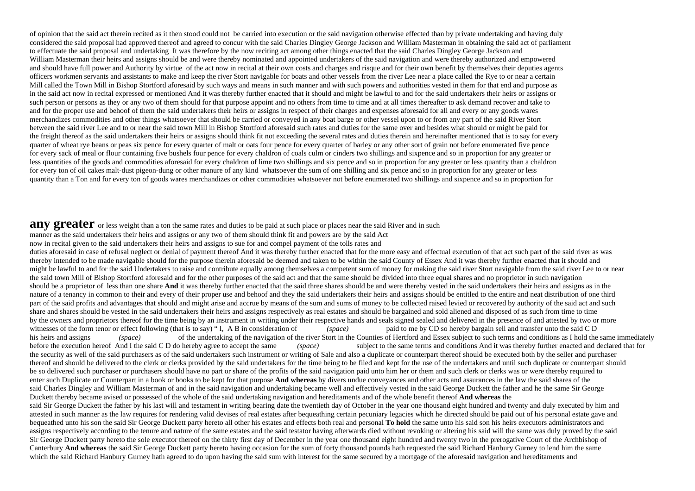of opinion that the said act therein recited as it then stood could not be carried into execution or the said navigation otherwise effected than by private undertaking and having duly considered the said proposal had approved thereof and agreed to concur with the said Charles Dingley George Jackson and William Masterman in obtaining the said act of parliament to effectuate the said proposal and undertaking It was therefore by the now reciting act among other things enacted that the said Charles Dingley George Jackson and William Masterman their heirs and assigns should be and were thereby nominated and appointed undertakers of the said navigation and were thereby authorized and empowered and should have full power and Authority by virtue of the act now in recital at their own costs and charges and risque and for their own benefit by themselves their deputies agents officers workmen servants and assistants to make and keep the river Stort navigable for boats and other vessels from the river Lee near a place called the Rye to or near a certain Mill called the Town Mill in Bishop Stortford aforesaid by such ways and means in such manner and with such powers and authorities vested in them for that end and purpose as in the said act now in recital expressed or mentioned And it was thereby further enacted that it should and might be lawful to and for the said undertakers their heirs or assigns or such person or persons as they or any two of them should for that purpose appoint and no others from time to time and at all times thereafter to ask demand recover and take to and for the proper use and behoof of them the said undertakers their heirs or assigns in respect of their charges and expenses aforesaid for all and every or any goods wares merchandizes commodities and other things whatsoever that should be carried or conveyed in any boat barge or other vessel upon to or from any part of the said River Stort between the said river Lee and to or near the said town Mill in Bishop Stortford aforesaid such rates and duties for the same over and besides what should or might be paid for the freight thereof as the said undertakers their heirs or assigns should think fit not exceeding the several rates and duties therein and hereinafter mentioned that is to say for every quarter of wheat rye beans or peas six pence for every quarter of malt or oats four pence for every quarter of barley or any other sort of grain not before enumerated five pence for every sack of meal or flour containing five bushels four pence for every chaldron of coals culm or cinders two shillings and sixpence and so in proportion for any greater or less quantities of the goods and commodities aforesaid for every chaldron of lime two shillings and six pence and so in proportion for any greater or less quantity than a chaldron for every ton of oil cakes malt-dust pigeon-dung or other manure of any kind whatsoever the sum of one shilling and six pence and so in proportion for any greater or less quantity than a Ton and for every ton of goods wares merchandizes or other commodities whatsoever not before enumerated two shillings and sixpence and so in proportion for

## **any greater** or less weight than a ton the same rates and duties to be paid at such place or places near the said River and in such

manner as the said undertakers their heirs and assigns or any two of them should think fit and powers are by the said Act

now in recital given to the said undertakers their heirs and assigns to sue for and compel payment of the tolls rates and

duties aforesaid in case of refusal neglect or denial of payment thereof And it was thereby further enacted that for the more easy and effectual execution of that act such part of the said river as was thereby intended to be made navigable should for the purpose therein aforesaid be deemed and taken to be within the said County of Essex And it was thereby further enacted that it should and might be lawful to and for the said Undertakers to raise and contribute equally among themselves a competent sum of money for making the said river Stort navigable from the said river Lee to or near the said town Mill of Bishop Stortford aforesaid and for the other purposes of the said act and that the same should be divided into three equal shares and no proprietor in such navigation should be a proprietor of less than one share **And** it was thereby further enacted that the said three shares should be and were thereby vested in the said undertakers their heirs and assigns as in the nature of a tenancy in common to their and every of their proper use and behoof and they the said undertakers their heirs and assigns should be entitled to the entire and neat distribution of one third part of the said profits and advantages that should and might arise and accrue by means of the sum and sums of money to be collected raised levied or recovered by authority of the said act and such share and shares should be vested in the said undertakers their heirs and assigns respectively as real estates and should be bargained and sold aliened and disposed of as such from time to time by the owners and proprietors thereof for the time being by an instrument in writing under their respective hands and seals signed sealed and delivered in the presence of and attested by two or more witnesses of the form tenor or effect following (that is to say) "I, A B in consideration of *(space)* paid to me by CD so hereby bargain sell and transfer unto the said C D his heirs and assigns *(space)* of the undertaking of the navigation of the river Stort in the Counties of Hertford and Essex subject to such terms and conditions as I hold the same immediately before the execution hereof And I the said C D do hereby agree to accept the same (space) subject to the same terms and conditions And it was thereby further enacted and declared that for the security as well of the said purchasers as of the said undertakers such instrument or writing of Sale and also a duplicate or counterpart thereof should be executed both by the seller and purchaser thereof and should be delivered to the clerk or clerks provided by the said undertakers for the time being to be filed and kept for the use of the undertakers and until such duplicate or counterpart should be so delivered such purchaser or purchasers should have no part or share of the profits of the said navigation paid unto him her or them and such clerk or clerks was or were thereby required to enter such Duplicate or Counterpart in a book or books to be kept for that purpose **And whereas** by divers undue conveyances and other acts and assurances in the law the said shares of the said Charles Dingley and William Masterman of and in the said navigation and undertaking became well and effectively vested in the said George Duckett the father and he the same Sir George Duckett thereby became avised or possessed of the whole of the said undertaking navigation and hereditaments and of the whole benefit thereof **And whereas** the said Sir George Duckett the father by his last will and testament in writing bearing date the twentieth day of October in the year one thousand eight hundred and twenty and duly executed by him and attested in such manner as the law requires for rendering valid devises of real estates after bequeathing certain pecuniary legacies which he directed should be paid out of his personal estate gave and bequeathed unto his son the said Sir George Duckett party hereto all other his estates and effects both real and personal **To hold** the same unto his said son his heirs executors administrators and assigns respectively according to the tenure and nature of the same estates and the said testator having afterwards died without revoking or altering his said will the same was duly proved by the said Sir George Duckett party hereto the sole executor thereof on the thirty first day of December in the year one thousand eight hundred and twenty two in the prerogative Court of the Archbishop of Canterbury **And whereas** the said Sir George Duckett party hereto having occasion for the sum of forty thousand pounds hath requested the said Richard Hanbury Gurney to lend him the same which the said Richard Hanbury Gurney hath agreed to do upon having the said sum with interest for the same secured by a mortgage of the aforesaid navigation and hereditaments and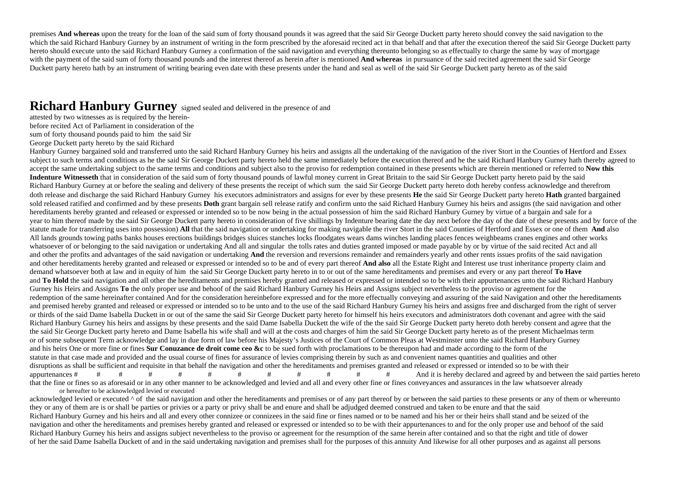premises **And whereas** upon the treaty for the loan of the said sum of forty thousand pounds it was agreed that the said Sir George Duckett party hereto should convey the said navigation to the which the said Richard Hanbury Gurney by an instrument of writing in the form prescribed by the aforesaid recited act in that behalf and that after the execution thereof the said Sir George Duckett party hereto should execute unto the said Richard Hanbury Gurney a confirmation of the said navigation and everything thereunto belonging so as effectually to charge the same by way of mortgage with the payment of the said sum of forty thousand pounds and the interest thereof as herein after is mentioned **And whereas** in pursuance of the said recited agreement the said Sir George Duckett party hereto hath by an instrument of writing bearing even date with these presents under the hand and seal as well of the said Sir George Duckett party hereto as of the said

## **Richard Hanbury Gurney** signed sealed and delivered in the presence of and

attested by two witnesses as is required by the hereinbefore recited Act of Parliament in consideration of the sum of forty thousand pounds paid to him the said Sir George Duckett party hereto by the said Richard

Hanbury Gurney bargained sold and transferred unto the said Richard Hanbury Gurney his heirs and assigns all the undertaking of the navigation of the river Stort in the Counties of Hertford and Essex subject to such terms and conditions as he the said Sir George Duckett party hereto held the same immediately before the execution thereof and he the said Richard Hanbury Gurney hath thereby agreed to accept the same undertaking subject to the same terms and conditions and subject also to the proviso for redemption contained in these presents which are therein mentioned or referred to **Now this** Indenture Witnesseth that in consideration of the said sum of forty thousand pounds of lawful money current in Great Britain to the said Sir George Duckett party hereto paid by the said Richard Hanbury Gurney at or before the sealing and delivery of these presents the receipt of which sum the said Sir George Duckett party hereto doth hereby confess acknowledge and therefrom doth release and discharge the said Richard Hanbury Gurney his executors administrators and assigns for ever by these presents **He** the said Sir George Duckett party hereto **Hath** granted bargained sold released ratified and confirmed and by these presents **Doth** grant bargain sell release ratify and confirm unto the said Richard Hanbury Gurney his heirs and assigns (the said navigation and other hereditaments hereby granted and released or expressed or intended so to be now being in the actual possession of him the said Richard Hanbury Gurney by virtue of a bargain and sale for a year to him thereof made by the said Sir George Duckett party hereto in consideration of five shillings by Indenture bearing date the day next before the day of the date of these presents and by force of the statute made for transferring uses into possession) **All** that the said navigation or undertaking for making navigable the river Stort in the said Counties of Hertford and Essex or one of them **And** also All lands grounds towing paths banks houses erections buildings bridges sluices stanches locks floodgates wears dams winches landing places fences weighbeams cranes engines and other works whatsoever of or belonging to the said navigation or undertaking And all and singular the tolls rates and duties granted imposed or made payable by or by virtue of the said recited Act and all and other the profits and advantages of the said navigation or undertaking **And** the reversion and reversions remainder and remainders yearly and other rents issues profits of the said navigation and other hereditaments hereby granted and released or expressed or intended so to be and of every part thereof **And also** all the Estate Right and Interest use trust inheritance property claim and demand whatsoever both at law and in equity of him the said Sir George Duckett party hereto in to or out of the same hereditaments and premises and every or any part thereof **To Have**  and **To Hold** the said navigation and all other the hereditaments and premises hereby granted and released or expressed or intended so to be with their appurtenances unto the said Richard Hanbury Gurney his Heirs and Assigns **To** the only proper use and behoof of the said Richard Hanbury Gurney his Heirs and Assigns subject nevertheless to the proviso or agreement for the redemption of the same hereinafter contained And for the consideration hereinbefore expressed and for the more effectually conveying and assuring of the said Navigation and other the hereditaments and premised hereby granted and released or expressed or intended so to be unto and to the use of the said Richard Hanbury Gurney his heirs and assigns free and discharged from the right of server or thirds of the said Dame Isabella Duckett in or out of the same the said Sir George Duckett party hereto for himself his heirs executors and administrators doth covenant and agree with the said Richard Hanbury Gurney his heirs and assigns by these presents and the said Dame Isabella Duckett the wife of the the said Sir George Duckett party hereto doth hereby consent and agree that the the said Sir George Duckett party hereto and Dame Isabella his wife shall and will at the costs and charges of him the said Sir George Duckett party hereto as of the present Michaelmas term or of some subsequent Term acknowledge and lay in due form of law before his Majesty's Justices of the Court of Common Pleas at Westminster unto the said Richard Hanbury Gurney and his heirs One or more fine or fines **Sur Conuzance de droit come ceo &c** to be sued forth with proclamations to be thereupon had and made according to the form of the statute in that case made and provided and the usual course of fines for assurance of levies comprising therein by such as and convenient names quantities and qualities and other disruptions as shall be sufficient and requisite in that behalf the navigation and other the hereditaments and premises granted and released or expressed or intended so to be with their appurtenances # # # # # # # # # # # # And it is hereby declared and agreed by and between the said parties hereto that the fine or fines so as aforesaid or in any other manner to be acknowledged and levied and all and every other fine or fines conveyances and assurances in the law whatsoever already or hereafter to be acknowledged levied or executed

acknowledged levied or executed  $\wedge$  of the said navigation and other the hereditaments and premises or of any part thereof by or between the said parties to these presents or any of them or whereunto they or any of them are is or shall be parties or privies or a party or privy shall be and enure and shall be adjudged deemed construed and taken to be enure and that the said Richard Hanbury Gurney and his heirs and all and every other connizee or connizees in the said fine or fines named or to be named and his her or their heirs shall stand and be seized of the navigation and other the hereditaments and premises hereby granted and released or expressed or intended so to be with their appurtenances to and for the only proper use and behoof of the said Richard Hanbury Gurney his heirs and assigns subject nevertheless to the proviso or agreement for the resumption of the same herein after contained and so that the right and title of dower of her the said Dame Isabella Duckett of and in the said undertaking navigation and premises shall for the purposes of this annuity And likewise for all other purposes and as against all persons